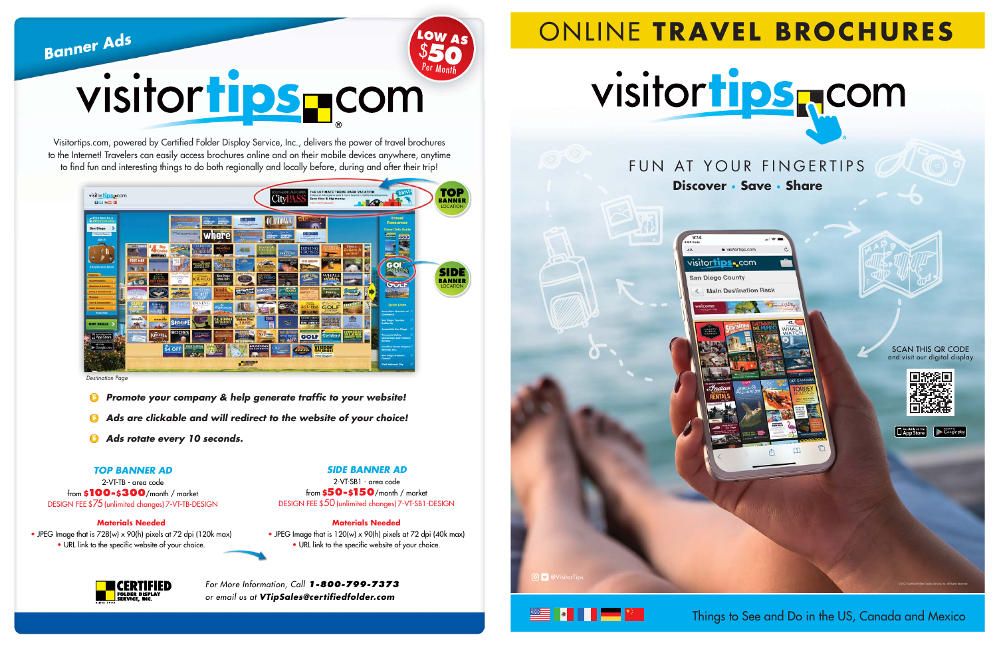© 2021 Certified Folder Display Service, Inc. All Rights Reserved.









## ONLINE **TRAVEL BROCHURES**

## **Discover** • **Save** • **Share** FUN AT YOUR FINGERTIPS

 $\sqrt{ }$ 

Things to See and Do in the US, Canada and Mexico





**Banner Ads**

For More Information, Call **1-800-799-7373**  or email us at **VTipSales@cer tifiedfolder.com**

Visitortips.com, powered by Certified Folder Display Service, Inc., delivers the power of travel brochures to the Internet! Travelers can easily access brochures online and on their mobile devices anywhere, anytime to find fun and interesting things to do both regionally and locally before, during and after their trip!

# visitortips rom **50**

**Ads are clickable and will redirect to the website of your choice!**

**Ads rotate every 10 seconds.**

### **Materials Needed**

• JPEG Image that is 728(w) x 90(h) pixels at 72 dpi (120k max)

• URL link to the specific website of your choice.



**Materials Needed**

• JPEG Image that is 120(w) x 90(h) pixels at 72 dpi (40k max) • URL link to the specific website of your choice.

**LOW AS**

 $\boldsymbol{\mathsf{\hat{S}}}$ 

| visitortipsecom<br><b>DOME P</b>                                                                                                                                                                                                                                                                                                                                                                                                | <b>SOUTHERN CALIFORNIA</b><br>THE ULTIMATE THEME PARK VACATION<br>3 Days at Disneyland, plus 2 more Southern California ettractions.<br><b>Jity</b><br>Save time & big money.<br><b>VISIT CITYPASS.COM +</b>                                                                                                                                                                                                                                                                                                                                                                                                                                                                                                                                                                                                                                                                                                                                                                                                                                                                                                                                                                                                                                                                                                                                                                                                                                                                                                                                                                                                                                                                                                                                                                                                                                                                                                                             | 25%                                                                                                                                                                                                                                                                                                                                                                                                                                                                                                                                                                                                                                                                                      | OP<br>BANNER<br><b>LOCATION</b>                 |
|---------------------------------------------------------------------------------------------------------------------------------------------------------------------------------------------------------------------------------------------------------------------------------------------------------------------------------------------------------------------------------------------------------------------------------|------------------------------------------------------------------------------------------------------------------------------------------------------------------------------------------------------------------------------------------------------------------------------------------------------------------------------------------------------------------------------------------------------------------------------------------------------------------------------------------------------------------------------------------------------------------------------------------------------------------------------------------------------------------------------------------------------------------------------------------------------------------------------------------------------------------------------------------------------------------------------------------------------------------------------------------------------------------------------------------------------------------------------------------------------------------------------------------------------------------------------------------------------------------------------------------------------------------------------------------------------------------------------------------------------------------------------------------------------------------------------------------------------------------------------------------------------------------------------------------------------------------------------------------------------------------------------------------------------------------------------------------------------------------------------------------------------------------------------------------------------------------------------------------------------------------------------------------------------------------------------------------------------------------------------------------|------------------------------------------------------------------------------------------------------------------------------------------------------------------------------------------------------------------------------------------------------------------------------------------------------------------------------------------------------------------------------------------------------------------------------------------------------------------------------------------------------------------------------------------------------------------------------------------------------------------------------------------------------------------------------------------|-------------------------------------------------|
| Click here for a<br>different city<br>San Diego<br><b>William's Regions</b><br>Sign in<br><b>Q Brochure(s) Saved</b><br><b>PERSONAL</b><br><b>Accommodations</b><br><b>Attractions &amp; Automna-</b><br><b>Similing &amp; Earth</b><br><b><i><u>Incorporation</u></i></b><br><b>Tours &amp; Transportation</b><br><b>Valley Bernland</b><br><b>Private Prints</b><br><b>HOT DEALS</b><br>App Store<br>GET IT ON<br>Google play | <b>VALUE</b><br>おりづま<br>m<br><b>PROFESS</b><br><b>MARKET</b><br>money in the Dept Stat<br>$\mathcal{R}_M$<br><b>THE REST</b><br>大口水土<br>Oceanside<br>ere<br><b>THEOLA</b><br><b>MORTH</b><br>month in the first furne<br>$\mathcal{R}_n$<br><b>CASE NV</b><br><b>SHERITE IFALY</b><br>Rears.<br>Bay<br><b>DINING</b><br><b>List</b><br>相同<br>elieve<br>Cruise<br>تسمى<br>SON DIECO 80<br><b>CRUISES</b><br><b>SAN DIECO</b><br>or Not<br><b>WASHING</b><br>41.13<br><b>1999 200</b><br><b>COLLEGE BY MON</b><br><b><i><u>STARTONICO</u></i></b><br><b>FREE HAP</b><br><b>22 OF LONTISES</b><br><b>37 LLOK</b><br>ί45<br><b>SPORTS FOR</b><br>en e l<br><b>Intern</b><br>APPEARED<br>unra<br><b>BED YOU'R</b><br>Civice<br>WHALE<br>San Diego<br>Ghost Tours<br>and a Didding Till good<br>KAHLO<br><b>GLIMITIOC</b><br><b>Watch</b><br>un visi<br>ø<br>毛面<br>の経験<br><b>We have a mailer</b><br><b>START OF</b><br>F<br><b>Horseback</b><br>TOURS<br><b>NYEALE WATCHING</b><br><b>HEATH PEACH</b><br><b>CENTRE</b><br><b>IELICOPTER</b><br>Beads.<br><b>FAMILY FU</b><br>BIPLANE<br>Riding<br>101110<br><b>OUTTET =</b><br>ian Dargo & Than<br>題學<br>W<br><b>Superstore</b><br><b>Shine</b><br>æ<br><b>DINING</b><br>TOM JUNT<br>LYMAR<br>Golli<br>rep <sub>ort</sub><br><b>NOUARIUM</b><br><b>GOLF</b><br>a.<br>CENTER<br>$\bullet$<br>Law Steel Room Bott<br><b>TENECHEA VALLEY</b><br><b>USOCANO</b><br><b>Bandy</b><br>物規理<br>usousla<br>CALIFORNIA<br><b>Bates Nut</b><br>Edin Colpins<br><b>SEARIFE</b><br>$\frac{\text{PAM}}{\text{PAM}}$<br><b>WATERSPORTS</b><br><b>FARM</b><br><b>WINE COUNTRY</b><br>R.<br>法定有限<br>Hill Har<br>,<br><b>THE LITH FINE</b><br><b>BODIES</b><br>Knotts<br>œ<br><b>SLAND</b><br>Six Flags<br>Carlsbad<br>G * fan Dage East<br><b>GOLF</b><br>72<br>197<br>$-100 - 100$<br>01.LYW090<br>8257<br>X<br>MUSEUMS<br>OF SAN DIEGO<br><b>WINE TASTING</b><br>VISITOR<br>m.<br>-<br>\$4 OFF<br>RS<br>SPEEC | <b>Travel</b><br><b>Resources</b><br><b>Travel Info Guide</b><br>Carfsbad<br>GOLF<br><b><i><u>Particular Contract Contract Contract Contract Contract Contract Contract Contract Contract Contract Contract Contract Contract Contract Contract Contract Contract Contract Contract Contract Contract Contract Contract C</u></i></b><br>GOI<br><b>SAN DIEGO</b><br>والمتعاذ<br>GULF<br>Lipolar sample<br><b>Quick Links</b><br><b>Excandido Chamber of</b><br>Commerce<br><b>Ban Diego Teurism</b><br>Authority<br><b>Accessible San Diego</b><br><b>Tamecula Velley</b><br><b>Convention and Visitors</b><br><b>Burmau</b><br><b>Certified Folder Display</b><br><b>Barvice</b> , Inc. | <b>SIDE</b><br><b>BANNER</b><br><b>LOCATION</b> |
|                                                                                                                                                                                                                                                                                                                                                                                                                                 | <b>Line For avenue</b><br><b>RECERTIFIED</b>                                                                                                                                                                                                                                                                                                                                                                                                                                                                                                                                                                                                                                                                                                                                                                                                                                                                                                                                                                                                                                                                                                                                                                                                                                                                                                                                                                                                                                                                                                                                                                                                                                                                                                                                                                                                                                                                                             | <b>San Diego Huesum</b><br><b>Council</b><br><b>Visit National City</b>                                                                                                                                                                                                                                                                                                                                                                                                                                                                                                                                                                                                                  |                                                 |

Destination Page

**Promote your company & help generate traffic to your website!** 

### **TOP BANNER AD**

2-VT-TB - area code from **\$100-\$300**/month / market DESIGN FEE \$75 (unlimited changes) 7-VT-TB-DESIGN **SIDE BANNER AD**

2-VT-SB1 - area code from **\$50-\$150**/month / market DESIGN FEE \$50 (unlimited changes) 7-VT-SB1-DESIGN